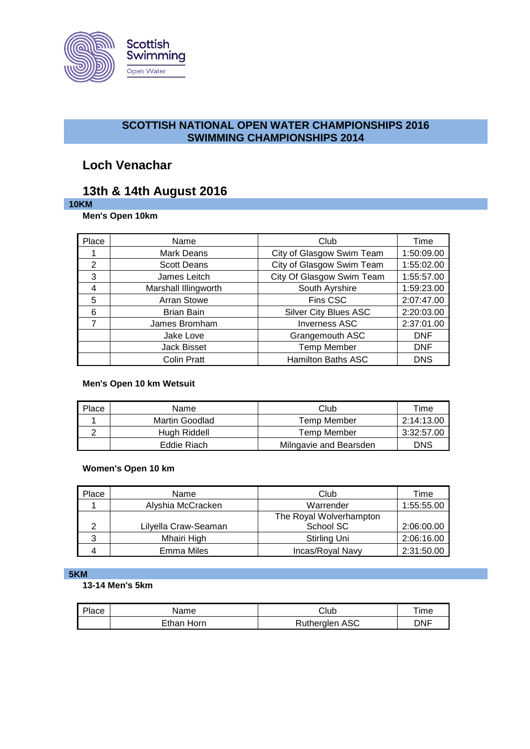

# **SCOTTISH NATIONAL OPEN WATER CHAMPIONSHIPS 2016 SWIMMING CHAMPIONSHIPS 2014**

# **Loch Venachar**

# **13th & 14th August 2016**

# **10KM**

**Men's Open 10km**

| Place | Name                 | Club                         | Time       |
|-------|----------------------|------------------------------|------------|
|       | Mark Deans           | City of Glasgow Swim Team    | 1:50:09.00 |
| 2     | <b>Scott Deans</b>   | City of Glasgow Swim Team    | 1:55:02.00 |
| 3     | James Leitch         | City Of Glasgow Swim Team    | 1:55:57.00 |
| 4     | Marshall Illingworth | South Ayrshire               | 1:59:23.00 |
| 5     | <b>Arran Stowe</b>   | Fins CSC                     | 2:07:47.00 |
| 6     | <b>Brian Bain</b>    | <b>Silver City Blues ASC</b> | 2:20:03.00 |
| 7     | James Bromham        | <b>Inverness ASC</b>         | 2:37:01.00 |
|       | Jake Love            | Grangemouth ASC              | <b>DNF</b> |
|       | <b>Jack Bisset</b>   | <b>Temp Member</b>           | <b>DNF</b> |
|       | <b>Colin Pratt</b>   | <b>Hamilton Baths ASC</b>    | <b>DNS</b> |

### **Men's Open 10 km Wetsuit**

| Place | Name           | Club                   | ™e         |
|-------|----------------|------------------------|------------|
|       | Martin Goodlad | Temp Member            | 2:14:13.00 |
|       | Hugh Riddell   | Temp Member            | 3:32:57.00 |
|       | Eddie Riach    | Milngavie and Bearsden | DNS        |

# **Women's Open 10 km**

| Place | Name                 | Club                    | Time       |
|-------|----------------------|-------------------------|------------|
|       | Alyshia McCracken    | Warrender               | 1:55:55.00 |
|       |                      | The Royal Wolverhampton |            |
| っ     | Lilyella Craw-Seaman | School SC               | 2:06:00.00 |
| 3     | Mhairi High          | Stirling Uni            | 2:06:16.00 |
|       | <b>Emma Miles</b>    | Incas/Royal Navy        | 2:31:50.00 |

#### **5KM**

# **13-14 Men's 5km**

| Place | Name       | Club           | $\tau$ ime |
|-------|------------|----------------|------------|
|       | Ethan Horn | Rutherglen ASC | dnf        |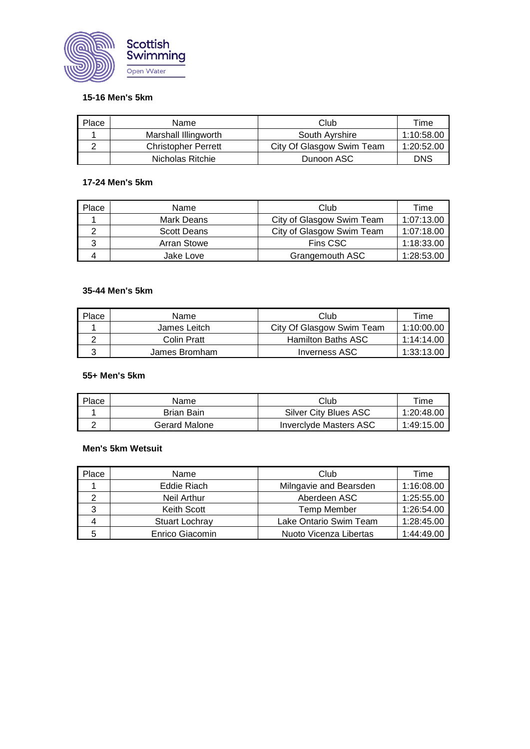

### **15-16 Men's 5km**

| Place | Name                       | Club                      | ⊺ime       |
|-------|----------------------------|---------------------------|------------|
|       | Marshall Illingworth       | South Ayrshire            | 1:10:58.00 |
|       | <b>Christopher Perrett</b> | City Of Glasgow Swim Team | 1:20:52.00 |
|       | Nicholas Ritchie           | Dunoon ASC                | <b>DNS</b> |

### **17-24 Men's 5km**

| Place | Name               | Club                      | Time       |
|-------|--------------------|---------------------------|------------|
|       | Mark Deans         | City of Glasgow Swim Team | 1:07:13.00 |
|       | <b>Scott Deans</b> | City of Glasgow Swim Team | 1:07:18.00 |
|       | Arran Stowe        | Fins CSC                  | 1:18:33.00 |
|       | Jake Love          | Grangemouth ASC           | 1:28:53.00 |

### **35-44 Men's 5km**

| Place | Name          | Club                      | Time       |
|-------|---------------|---------------------------|------------|
|       | James Leitch  | City Of Glasgow Swim Team | 1:10:00.00 |
|       | Colin Pratt   | Hamilton Baths ASC        | 1:14:14.00 |
|       | James Bromham | Inverness ASC             | 1:33:13.00 |

### **55+ Men's 5km**

| Place | Name          | Club                          | Time       |
|-------|---------------|-------------------------------|------------|
|       | Brian Bain    | Silver City Blues ASC         | 1:20:48.00 |
|       | Gerard Malone | <b>Inverciyde Masters ASC</b> | 1:49:15.00 |

#### **Men's 5km Wetsuit**

| Place | Name               | Club                   | Time       |
|-------|--------------------|------------------------|------------|
|       | Eddie Riach        | Milngavie and Bearsden | 1:16:08.00 |
|       | Neil Arthur        | Aberdeen ASC           | 1:25:55.00 |
| ર     | <b>Keith Scott</b> | <b>Temp Member</b>     | 1:26:54.00 |
|       | Stuart Lochray     | Lake Ontario Swim Team | 1:28:45.00 |
|       | Enrico Giacomin    | Nuoto Vicenza Libertas | 1:44:49.00 |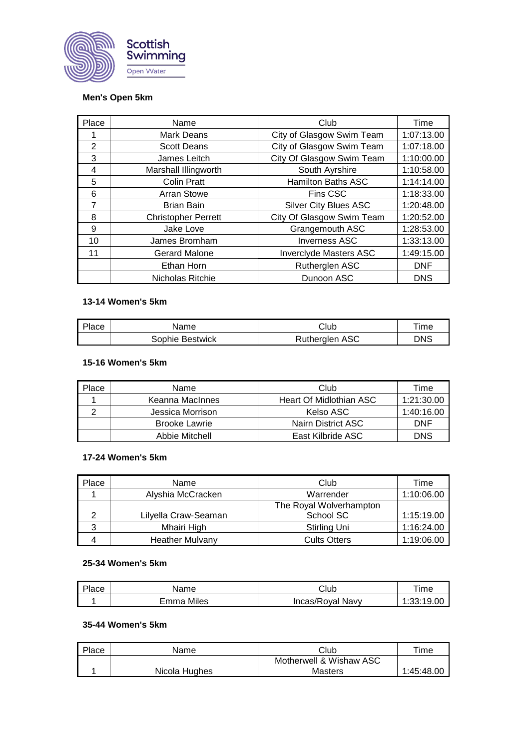

### **Men's Open 5km**

| Place | Name                       | Club                          | Time       |
|-------|----------------------------|-------------------------------|------------|
|       | <b>Mark Deans</b>          | City of Glasgow Swim Team     | 1:07:13.00 |
| 2     | <b>Scott Deans</b>         | City of Glasgow Swim Team     | 1:07:18.00 |
| 3     | James Leitch               | City Of Glasgow Swim Team     | 1:10:00.00 |
| 4     | Marshall Illingworth       | South Ayrshire                | 1:10:58.00 |
| 5     | <b>Colin Pratt</b>         | <b>Hamilton Baths ASC</b>     | 1:14:14.00 |
| 6     | <b>Arran Stowe</b>         | Fins CSC                      | 1:18:33.00 |
| 7     | <b>Brian Bain</b>          | <b>Silver City Blues ASC</b>  | 1:20:48.00 |
| 8     | <b>Christopher Perrett</b> | City Of Glasgow Swim Team     | 1:20:52.00 |
| 9     | Jake Love                  | Grangemouth ASC               | 1:28:53.00 |
| 10    | James Bromham              | <b>Inverness ASC</b>          | 1:33:13.00 |
| 11    | <b>Gerard Malone</b>       | <b>Inverclyde Masters ASC</b> | 1:49:15.00 |
|       | Ethan Horn                 | Rutherglen ASC                | <b>DNF</b> |
|       | Nicholas Ritchie           | Dunoon ASC                    | <b>DNS</b> |

# **13-14 Women's 5km**

| Place | Name            | Club           | <b>ime</b> |
|-------|-----------------|----------------|------------|
|       | Sophie Bestwick | Rutherglen ASC | DNS        |

#### **15-16 Women's 5km**

| Place | Name                 | Club                    | Time       |
|-------|----------------------|-------------------------|------------|
|       | Keanna MacInnes      | Heart Of Midlothian ASC | 1:21:30.00 |
|       | Jessica Morrison     | Kelso ASC               | 1:40:16.00 |
|       | <b>Brooke Lawrie</b> | Nairn District ASC      | <b>DNF</b> |
|       | Abbie Mitchell       | East Kilbride ASC       | <b>DNS</b> |

#### **17-24 Women's 5km**

| Place | Name                   | Club                    | Time       |
|-------|------------------------|-------------------------|------------|
|       | Alyshia McCracken      | Warrender               | 1:10:06.00 |
|       |                        | The Royal Wolverhampton |            |
| ◠     | Lilyella Craw-Seaman   | School SC               | 1:15:19.00 |
|       | Mhairi High            | Stirling Uni            | 1:16:24.00 |
|       | <b>Heather Mulvany</b> | <b>Cults Otters</b>     | 1:19:06.00 |

#### **25-34 Women's 5km**

| Place | Name       | Club             | Time       |
|-------|------------|------------------|------------|
|       | Emma Miles | Incas/Royal Navy | 1:33:19.00 |

#### **35-44 Women's 5km**

| Place | Name          | Club                    | $\tau$ ime |
|-------|---------------|-------------------------|------------|
|       |               | Motherwell & Wishaw ASC |            |
|       | Nicola Hughes | <b>Masters</b>          | 1:45:48.00 |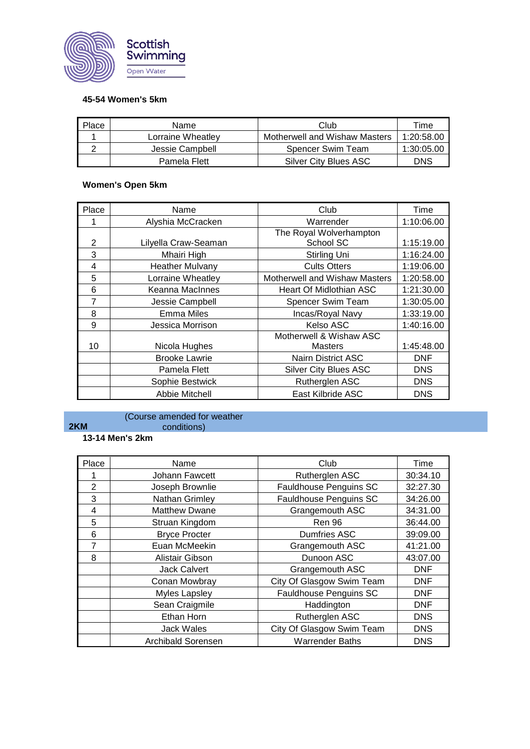

### **45-54 Women's 5km**

| Place | Name              | Club                          | ™e∍        |
|-------|-------------------|-------------------------------|------------|
|       | Lorraine Wheatlev | Motherwell and Wishaw Masters | 1:20:58.00 |
|       | Jessie Campbell   | Spencer Swim Team             | 1:30:05.00 |
|       | Pamela Flett      | Silver City Blues ASC         | <b>DNS</b> |

# **Women's Open 5km**

| Place | Name                   | Club                           | Time       |
|-------|------------------------|--------------------------------|------------|
|       | Alyshia McCracken      | Warrender                      | 1:10:06.00 |
|       |                        | The Royal Wolverhampton        |            |
| 2     | Lilyella Craw-Seaman   | School SC                      | 1:15:19.00 |
| 3     | Mhairi High            | Stirling Uni                   | 1:16:24.00 |
| 4     | <b>Heather Mulvany</b> | <b>Cults Otters</b>            | 1:19:06.00 |
| 5     | Lorraine Wheatley      | Motherwell and Wishaw Masters  | 1:20:58.00 |
| 6     | Keanna MacInnes        | <b>Heart Of Midlothian ASC</b> | 1:21:30.00 |
| 7     | Jessie Campbell        | Spencer Swim Team              | 1:30:05.00 |
| 8     | <b>Emma Miles</b>      | Incas/Royal Navy               | 1:33:19.00 |
| 9     | Jessica Morrison       | Kelso ASC                      | 1:40:16.00 |
|       |                        | Motherwell & Wishaw ASC        |            |
| 10    | Nicola Hughes          | Masters                        | 1:45:48.00 |
|       | <b>Brooke Lawrie</b>   | <b>Nairn District ASC</b>      | DNF        |
|       | Pamela Flett           | <b>Silver City Blues ASC</b>   | <b>DNS</b> |
|       | Sophie Bestwick        | Rutherglen ASC                 | <b>DNS</b> |
|       | Abbie Mitchell         | East Kilbride ASC              | <b>DNS</b> |

#### (Course amended for weather conditions)

### **13-14 Men's 2km**

**2KM**

| Place          | Name                 | Club                          | Time       |
|----------------|----------------------|-------------------------------|------------|
|                | Johann Fawcett       | Rutherglen ASC                | 30:34.10   |
| $\overline{2}$ | Joseph Brownlie      | <b>Fauldhouse Penguins SC</b> | 32:27.30   |
| 3              | Nathan Grimley       | <b>Fauldhouse Penguins SC</b> | 34:26.00   |
| 4              | <b>Matthew Dwane</b> | Grangemouth ASC               | 34:31.00   |
| 5              | Struan Kingdom       | <b>Ren 96</b>                 | 36:44.00   |
| 6              | <b>Bryce Procter</b> | <b>Dumfries ASC</b>           | 39:09.00   |
| 7              | Euan McMeekin        | Grangemouth ASC               | 41:21.00   |
| 8              | Alistair Gibson      | Dunoon ASC                    | 43:07.00   |
|                | <b>Jack Calvert</b>  | Grangemouth ASC               | <b>DNF</b> |
|                | Conan Mowbray        | City Of Glasgow Swim Team     | <b>DNF</b> |
|                | <b>Myles Lapsley</b> | <b>Fauldhouse Penguins SC</b> | <b>DNF</b> |
|                | Sean Craigmile       | Haddington                    | <b>DNF</b> |
|                | Ethan Horn           | Rutherglen ASC                | <b>DNS</b> |
|                | <b>Jack Wales</b>    | City Of Glasgow Swim Team     | <b>DNS</b> |
|                | Archibald Sorensen   | <b>Warrender Baths</b>        | <b>DNS</b> |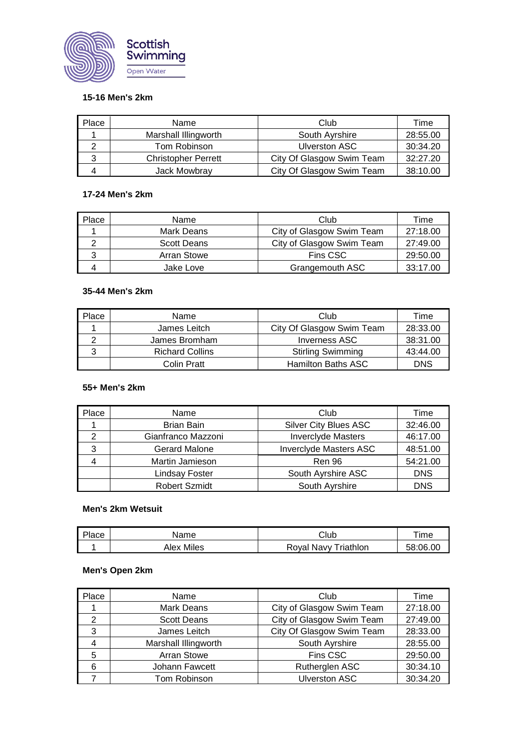

# **15-16 Men's 2km**

| Place | Name                       | Club                      | Time     |
|-------|----------------------------|---------------------------|----------|
|       | Marshall Illingworth       | South Ayrshire            | 28:55.00 |
|       | Tom Robinson               | <b>Ulverston ASC</b>      | 30:34.20 |
| 2     | <b>Christopher Perrett</b> | City Of Glasgow Swim Team | 32:27.20 |
|       | Jack Mowbray               | City Of Glasgow Swim Team | 38:10.00 |

### **17-24 Men's 2km**

| Place | Name               | Club                      | ⊺ime     |
|-------|--------------------|---------------------------|----------|
|       | Mark Deans         | City of Glasgow Swim Team | 27:18.00 |
|       | <b>Scott Deans</b> | City of Glasgow Swim Team | 27:49.00 |
| J     | <b>Arran Stowe</b> | Fins CSC                  | 29:50.00 |
|       | Jake Love          | Grangemouth ASC           | 33:17.00 |

### **35-44 Men's 2km**

| Place | Name                   | Club                      | Time       |
|-------|------------------------|---------------------------|------------|
|       | James Leitch           | City Of Glasgow Swim Team | 28:33.00   |
|       | James Bromham          | <b>Inverness ASC</b>      | 38:31.00   |
|       | <b>Richard Collins</b> | <b>Stirling Swimming</b>  | 43:44.00   |
|       | Colin Pratt            | Hamilton Baths ASC        | <b>DNS</b> |

## **55+ Men's 2km**

| Place | Name                 | Club                          | Time       |
|-------|----------------------|-------------------------------|------------|
|       | <b>Brian Bain</b>    | <b>Silver City Blues ASC</b>  | 32:46.00   |
|       | Gianfranco Mazzoni   | <b>Inverclyde Masters</b>     | 46:17.00   |
| 3     | <b>Gerard Malone</b> | <b>Inverciyde Masters ASC</b> | 48:51.00   |
|       | Martin Jamieson      | <b>Ren 96</b>                 | 54:21.00   |
|       | Lindsay Foster       | South Ayrshire ASC            | <b>DNS</b> |
|       | <b>Robert Szmidt</b> | South Ayrshire                | <b>DNS</b> |

### **Men's 2km Wetsuit**

| Place | Name       | Club                 | $\tau$ ime |
|-------|------------|----------------------|------------|
|       | Alex Miles | Roval Navy Triathlon | 58:06.00   |

### **Men's Open 2km**

| Place | Name                 | Club                      | Time     |
|-------|----------------------|---------------------------|----------|
|       | <b>Mark Deans</b>    | City of Glasgow Swim Team | 27:18.00 |
| 2     | <b>Scott Deans</b>   | City of Glasgow Swim Team | 27:49.00 |
| 3     | James Leitch         | City Of Glasgow Swim Team | 28:33.00 |
|       | Marshall Illingworth | South Ayrshire            | 28:55.00 |
| 5     | <b>Arran Stowe</b>   | Fins CSC                  | 29:50.00 |
| 6     | Johann Fawcett       | Rutherglen ASC            | 30:34.10 |
|       | Tom Robinson         | <b>Ulverston ASC</b>      | 30:34.20 |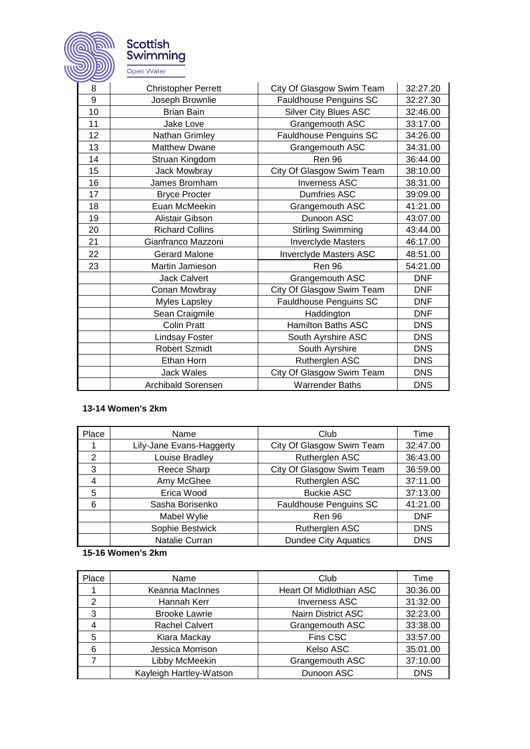

Scottish<br>Swimming Open Water

| 8  | <b>Christopher Perrett</b> | City Of Glasgow Swim Team    | 32:27.20   |
|----|----------------------------|------------------------------|------------|
| 9  | Joseph Brownlie            | Fauldhouse Penguins SC       | 32:27.30   |
| 10 | <b>Brian Bain</b>          | <b>Silver City Blues ASC</b> | 32:46.00   |
| 11 | Jake Love                  | Grangemouth ASC              | 33:17.00   |
| 12 | Nathan Grimley             | Fauldhouse Penguins SC       | 34:26.00   |
| 13 | <b>Matthew Dwane</b>       | Grangemouth ASC              | 34:31.00   |
| 14 | Struan Kingdom             | Ren 96                       | 36:44.00   |
| 15 | Jack Mowbray               | City Of Glasgow Swim Team    | 38:10.00   |
| 16 | James Bromham              | <b>Inverness ASC</b>         | 38:31.00   |
| 17 | <b>Bryce Procter</b>       | <b>Dumfries ASC</b>          | 39:09.00   |
| 18 | Euan McMeekin              | Grangemouth ASC              | 41:21.00   |
| 19 | Alistair Gibson            | Dunoon ASC                   | 43:07.00   |
| 20 | <b>Richard Collins</b>     | <b>Stirling Swimming</b>     | 43:44.00   |
| 21 | Gianfranco Mazzoni         | <b>Inverclyde Masters</b>    | 46:17.00   |
| 22 | <b>Gerard Malone</b>       | Inverclyde Masters ASC       | 48:51.00   |
| 23 | Martin Jamieson            | Ren 96                       | 54:21.00   |
|    | <b>Jack Calvert</b>        | Grangemouth ASC              | <b>DNF</b> |
|    | Conan Mowbray              | City Of Glasgow Swim Team    | <b>DNF</b> |
|    | <b>Myles Lapsley</b>       | Fauldhouse Penguins SC       | <b>DNF</b> |
|    | Sean Craigmile             | Haddington                   | <b>DNF</b> |
|    | <b>Colin Pratt</b>         | <b>Hamilton Baths ASC</b>    | <b>DNS</b> |
|    | <b>Lindsay Foster</b>      | South Ayrshire ASC           | <b>DNS</b> |
|    | <b>Robert Szmidt</b>       | South Ayrshire               | <b>DNS</b> |
|    | Ethan Horn                 | Rutherglen ASC               | <b>DNS</b> |
|    | <b>Jack Wales</b>          | City Of Glasgow Swim Team    | <b>DNS</b> |
|    | <b>Archibald Sorensen</b>  | <b>Warrender Baths</b>       | <b>DNS</b> |

### **13-14 Women's 2km**

| Place | Name                     | Club                        | Time       |
|-------|--------------------------|-----------------------------|------------|
|       | Lily-Jane Evans-Haggerty | City Of Glasgow Swim Team   | 32:47.00   |
| 2     | Louise Bradley           | Rutherglen ASC              | 36:43.00   |
| 3     | Reece Sharp              | City Of Glasgow Swim Team   | 36:59.00   |
| 4     | Amy McGhee               | Rutherglen ASC              | 37:11.00   |
| 5     | Erica Wood               | <b>Buckie ASC</b>           | 37:13.00   |
| 6     | Sasha Borisenko          | Fauldhouse Penguins SC      | 41:21.00   |
|       | Mabel Wylie              | <b>Ren 96</b>               | <b>DNF</b> |
|       | Sophie Bestwick          | Rutherglen ASC              | <b>DNS</b> |
|       | Natalie Curran           | <b>Dundee City Aquatics</b> | <b>DNS</b> |

### **15-16 Women's 2km**

| Place | Name                    | Club                      | Time       |
|-------|-------------------------|---------------------------|------------|
|       | Keanna MacInnes         | Heart Of Midlothian ASC   | 30:36.00   |
| 2     | Hannah Kerr             | <b>Inverness ASC</b>      | 31:32.00   |
| 3     | <b>Brooke Lawrie</b>    | <b>Nairn District ASC</b> | 32:23.00   |
| 4     | <b>Rachel Calvert</b>   | Grangemouth ASC           | 33:38.00   |
| 5     | Kiara Mackay            | Fins CSC                  | 33:57.00   |
| 6     | Jessica Morrison        | Kelso ASC                 | 35:01.00   |
|       | Libby McMeekin          | Grangemouth ASC           | 37:10.00   |
|       | Kayleigh Hartley-Watson | Dunoon ASC                | <b>DNS</b> |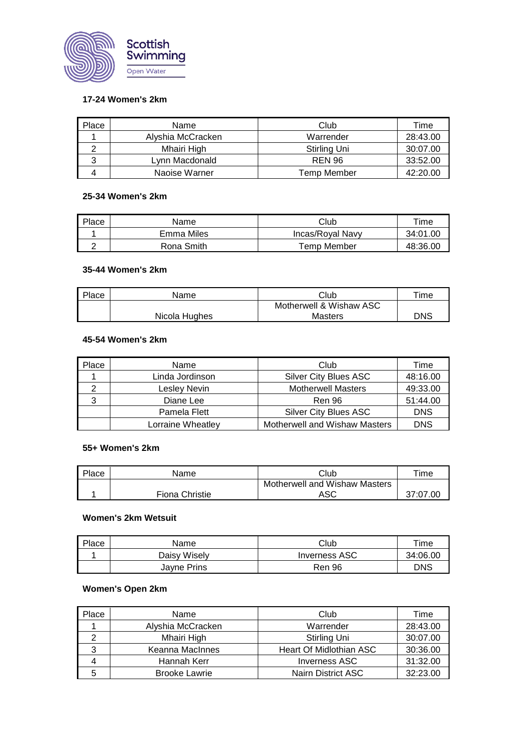

### **17-24 Women's 2km**

| Place | Name              | Club          | Time     |
|-------|-------------------|---------------|----------|
|       | Alvshia McCracken | Warrender     | 28:43.00 |
|       | Mhairi High       | Stirling Uni  | 30:07.00 |
|       | Lvnn Macdonald    | <b>REN 96</b> | 33:52.00 |
|       | Naoise Warner     | Temp Member   | 42:20.00 |

#### **25-34 Women's 2km**

| Place | Name       | Club             | ™e       |
|-------|------------|------------------|----------|
|       | Emma Miles | Incas/Royal Navy | 34:01.00 |
|       | Rona Smith | Temp Member      | 48:36.00 |

# **35-44 Women's 2km**

| Place | Name          | Club                    | $\tau$ ime |
|-------|---------------|-------------------------|------------|
|       |               | Motherwell & Wishaw ASC |            |
|       | Nicola Hughes | Masters                 | <b>DNS</b> |

### **45-54 Women's 2km**

| Place | Name              | Club                                 | Time       |
|-------|-------------------|--------------------------------------|------------|
|       | Linda Jordinson   | <b>Silver City Blues ASC</b>         | 48:16.00   |
| ◠     | Lesley Nevin      | <b>Motherwell Masters</b>            | 49:33.00   |
| 3     | Diane Lee         | <b>Ren 96</b>                        | 51:44.00   |
|       | Pamela Flett      | <b>Silver City Blues ASC</b>         | <b>DNS</b> |
|       | Lorraine Wheatley | <b>Motherwell and Wishaw Masters</b> | <b>DNS</b> |

### **55+ Women's 2km**

| Place | Name           | Club                          | ™e       |
|-------|----------------|-------------------------------|----------|
|       |                | Motherwell and Wishaw Masters |          |
|       | Fiona Christie | ASC                           | 37:07.00 |

### **Women's 2km Wetsuit**

| Place | Name         | Club          | Time     |
|-------|--------------|---------------|----------|
|       | Daisy Wisely | Inverness ASC | 34:06.00 |
|       | Jayne Prins  | <b>Ren 96</b> | DNS      |

### **Women's Open 2km**

| Place | Name                 | Club                      | Time     |
|-------|----------------------|---------------------------|----------|
|       | Alyshia McCracken    | Warrender                 | 28:43.00 |
|       | Mhairi High          | Stirling Uni              | 30:07.00 |
| 3     | Keanna MacInnes      | Heart Of Midlothian ASC   | 30:36.00 |
|       | Hannah Kerr          | <b>Inverness ASC</b>      | 31:32.00 |
| 5     | <b>Brooke Lawrie</b> | <b>Nairn District ASC</b> | 32:23.00 |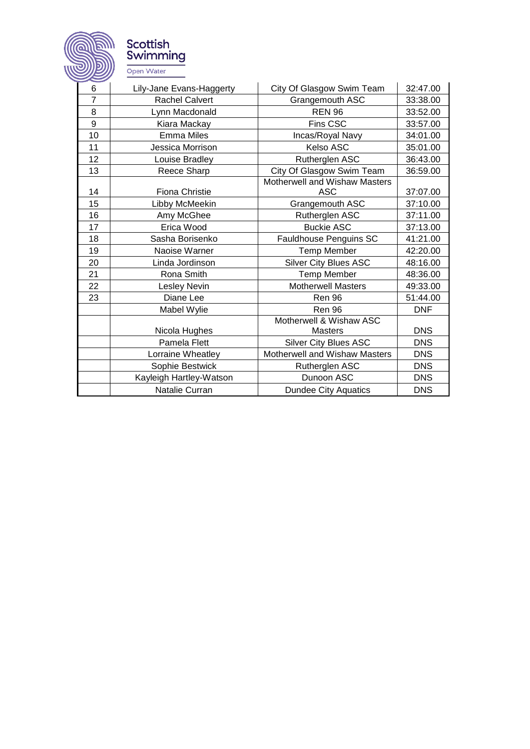

Scottish<br>Swimming Open Water

| 6                | Lily-Jane Evans-Haggerty | City Of Glasgow Swim Team     | 32:47.00   |
|------------------|--------------------------|-------------------------------|------------|
| $\overline{7}$   | <b>Rachel Calvert</b>    | Grangemouth ASC               | 33:38.00   |
| 8                | Lynn Macdonald           | <b>REN 96</b>                 | 33:52.00   |
| $\boldsymbol{9}$ | Kiara Mackay             | Fins CSC                      | 33:57.00   |
| 10               | Emma Miles               | Incas/Royal Navy              | 34:01.00   |
| 11               | Jessica Morrison         | Kelso ASC                     | 35:01.00   |
| 12               | Louise Bradley           | Rutherglen ASC                | 36:43.00   |
| 13               | Reece Sharp              | City Of Glasgow Swim Team     | 36:59.00   |
|                  |                          | Motherwell and Wishaw Masters |            |
| 14               | Fiona Christie           | <b>ASC</b>                    | 37:07.00   |
| 15               | Libby McMeekin           | Grangemouth ASC               | 37:10.00   |
| 16               | Amy McGhee               | Rutherglen ASC                | 37:11.00   |
| 17               | Erica Wood               | <b>Buckie ASC</b>             | 37:13.00   |
| 18               | Sasha Borisenko          | Fauldhouse Penguins SC        | 41:21.00   |
| 19               | Naoise Warner            | <b>Temp Member</b>            | 42:20.00   |
| 20               | Linda Jordinson          | <b>Silver City Blues ASC</b>  | 48:16.00   |
| 21               | Rona Smith               | <b>Temp Member</b>            | 48:36.00   |
| 22               | <b>Lesley Nevin</b>      | <b>Motherwell Masters</b>     | 49:33.00   |
| 23               | Diane Lee                | <b>Ren 96</b>                 | 51:44.00   |
|                  | Mabel Wylie              | <b>Ren 96</b>                 | <b>DNF</b> |
|                  |                          | Motherwell & Wishaw ASC       |            |
|                  | Nicola Hughes            | <b>Masters</b>                | <b>DNS</b> |
|                  | Pamela Flett             | <b>Silver City Blues ASC</b>  | <b>DNS</b> |
|                  | Lorraine Wheatley        | Motherwell and Wishaw Masters | <b>DNS</b> |
|                  | Sophie Bestwick          | Rutherglen ASC                | <b>DNS</b> |
|                  | Kayleigh Hartley-Watson  | Dunoon ASC                    | <b>DNS</b> |
|                  | Natalie Curran           | <b>Dundee City Aquatics</b>   | <b>DNS</b> |
|                  |                          |                               |            |